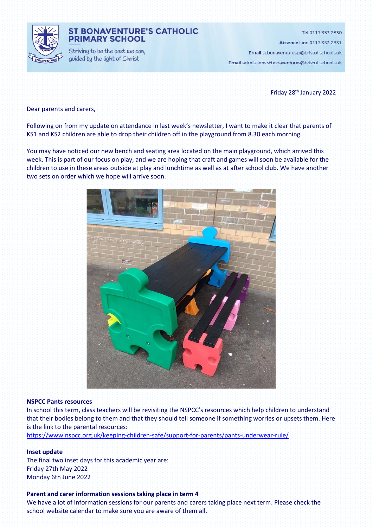

### **ST BONAVENTURE'S CATHOLIC PRIMARY SCHOOL**

Striving to be the best we can, guided by the light of Christ

Tel 0117 353 2830

Absence Line 0117 353 2831

Email st.bonaventures.p@bristol-schools.uk

Email admissions.stbonaventures@bristol-schools.uk

Friday 28 th January 2022

Dear parents and carers,

Following on from my update on attendance in last week's newsletter, I want to make it clear that parents of KS1 and KS2 children are able to drop their children off in the playground from 8.30 each morning.

You may have noticed our new bench and seating area located on the main playground, which arrived this week. This is part of our focus on play, and we are hoping that craft and games will soon be available for the children to use in these areas outside at play and lunchtime as well as at after school club. We have another two sets on order which we hope will arrive soon.



#### **NSPCC Pants resources**

In school this term, class teachers will be revisiting the NSPCC's resources which help children to understand that their bodies belong to them and that they should tell someone if something worries or upsets them. Here is the link to the parental resources:

<https://www.nspcc.org.uk/keeping-children-safe/support-for-parents/pants-underwear-rule/>

### **Inset update**

The final two inset days for this academic year are: Friday 27th May 2022 Monday 6th June 2022

#### **Parent and carer information sessions taking place in term 4**

We have a lot of information sessions for our parents and carers taking place next term. Please check the school website calendar to make sure you are aware of them all.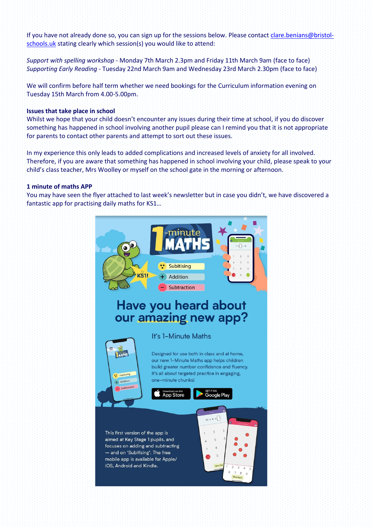If you have not already done so, you can sign up for the sessions below. Please contact [clare.benians@bristol](mailto:clare.benians@bristol-schools.uk)[schools.uk](mailto:clare.benians@bristol-schools.uk) stating clearly which session(s) you would like to attend:

*Support with spelling workshop* - Monday 7th March 2.3pm and Friday 11th March 9am (face to face) *Supporting Early Reading* - Tuesday 22nd March 9am and Wednesday 23rd March 2.30pm (face to face)

We will confirm before half term whether we need bookings for the Curriculum information evening on Tuesday 15th March from 4.00-5.00pm.

### **Issues that take place in school**

Whilst we hope that your child doesn't encounter any issues during their time at school, if you do discover something has happened in school involving another pupil please can I remind you that it is not appropriate for parents to contact other parents and attempt to sort out these issues.

In my experience this only leads to added complications and increased levels of anxiety for all involved. Therefore, if you are aware that something has happened in school involving your child, please speak to your child's class teacher, Mrs Woolley or myself on the school gate in the morning or afternoon.

#### **1 minute of maths APP**

You may have seen the flyer attached to last week's newsletter but in case you didn't, we have discovered a fantastic app for practising daily maths for KS1…

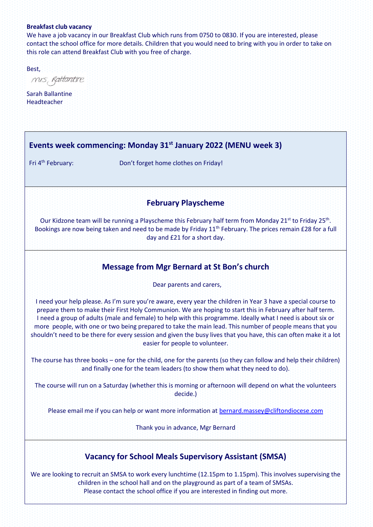### **Breakfast club vacancy**

We have a job vacancy in our Breakfast Club which runs from 0750 to 0830. If you are interested, please contact the school office for more details. Children that you would need to bring with you in order to take on this role can attend Breakfast Club with you free of charge.

Best,

mis Rattantire

Sarah Ballantine Headteacher

## **Events week commencing: Monday 31st January 2022 (MENU week 3)**

Fri 4<sup>th</sup> February:

Don't forget home clothes on Friday!

### **February Playscheme**

Our Kidzone team will be running a Playscheme this February half term from Monday 21<sup>st</sup> to Friday 25<sup>th</sup>. Bookings are now being taken and need to be made by Friday 11<sup>th</sup> February. The prices remain £28 for a full day and £21 for a short day.

## **Message from Mgr Bernard at St Bon's church**

Dear parents and carers,

I need your help please. As I'm sure you're aware, every year the children in Year 3 have a special course to prepare them to make their First Holy Communion. We are hoping to start this in February after half term. I need a group of adults (male and female) to help with this programme. Ideally what I need is about six or more people, with one or two being prepared to take the main lead. This number of people means that you shouldn't need to be there for every session and given the busy lives that you have, this can often make it a lot easier for people to volunteer.

The course has three books – one for the child, one for the parents (so they can follow and help their children) and finally one for the team leaders (to show them what they need to do).

The course will run on a Saturday (whether this is morning or afternoon will depend on what the volunteers decide.)

Please email me if you can help or want more information at [bernard.massey@cliftondiocese.com](mailto:bernard.massey@cliftondiocese.com)

Thank you in advance, Mgr Bernard

## **Vacancy for School Meals Supervisory Assistant (SMSA)**

We are looking to recruit an SMSA to work every lunchtime (12.15pm to 1.15pm). This involves supervising the children in the school hall and on the playground as part of a team of SMSAs. Please contact the school office if you are interested in finding out more.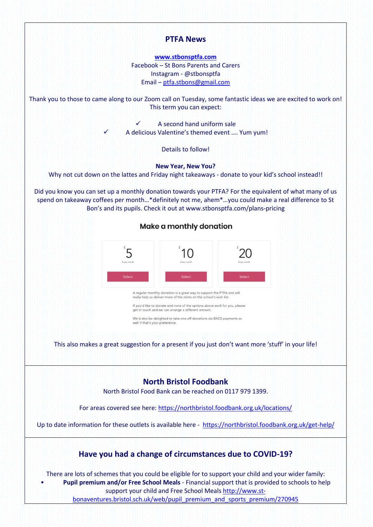# **PTFA News**

**[www.stbonsptfa.com](file:///C:/Users/sophi/Documents/Personal/PTFA/www.stbonsptfa.com)** Facebook – St Bons Parents and Carers Instagram - @stbonsptfa Email – [ptfa.stbons@gmail.com](mailto:ptfa.stbons@gmail.com)

Thank you to those to came along to our Zoom call on Tuesday, some fantastic ideas we are excited to work on! This term you can expect:

> A second hand uniform sale A delicious Valentine's themed event .... Yum yum!

> > Details to follow!

**New Year, New You?**

Why not cut down on the lattes and Friday night takeaways - donate to your kid's school instead!!

Did you know you can set up a monthly donation towards your PTFA? For the equivalent of what many of us spend on takeaway coffees per month…\*definitely not me, ahem\*…you could make a real difference to St Bon's and its pupils. Check it out at www.stbonsptfa.com/plans-pricing



We'd also be delighted to take one off donations via BACS payments as well if that's your prefere

This also makes a great suggestion for a present if you just don't want more 'stuff' in your life!

## **North Bristol Foodbank**

North Bristol Food Bank can be reached on 0117 979 1399.

For areas covered see here[: https://northbristol.foodbank.org.uk/locations/](https://northbristol.foodbank.org.uk/locations/)

Up to date information for these outlets is available here -<https://northbristol.foodbank.org.uk/get-help/>